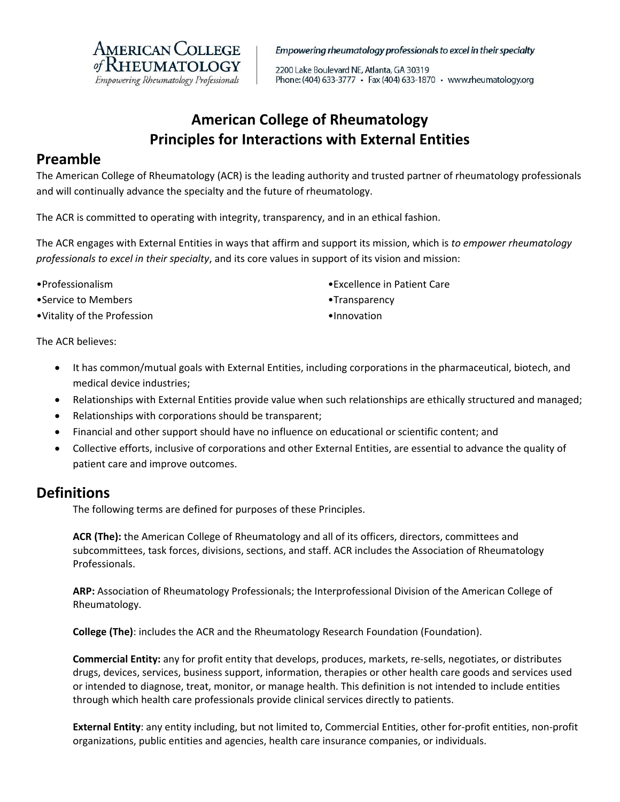

Empowering rheumatology professionals to excel in their specialty

2200 Lake Boulevard NE, Atlanta, GA 30319 Phone: (404) 633-3777 • Fax (404) 633-1870 • www.rheumatology.org

# **American College of Rheumatology Principles for Interactions with External Entities**

### **Preamble**

The American College of Rheumatology (ACR) is the leading authority and trusted partner of rheumatology professionals and will continually advance the specialty and the future of rheumatology.

The ACR is committed to operating with integrity, transparency, and in an ethical fashion.

The ACR engages with External Entities in ways that affirm and support its mission, which is *to empower rheumatology professionals to excel in their specialty*, and its core values in support of its vision and mission:

•Professionalism •Service to Members

•Vitality of the Profession

- •Excellence in Patient Care
- •Transparency
- •Innovation

The ACR believes:

- It has common/mutual goals with External Entities, including corporations in the pharmaceutical, biotech, and medical device industries;
- Relationships with External Entities provide value when such relationships are ethically structured and managed;
- Relationships with corporations should be transparent;
- Financial and other support should have no influence on educational or scientific content; and
- Collective efforts, inclusive of corporations and other External Entities, are essential to advance the quality of patient care and improve outcomes.

# **Definitions**

The following terms are defined for purposes of these Principles.

**ACR (The):** the American College of Rheumatology and all of its officers, directors, committees and subcommittees, task forces, divisions, sections, and staff. ACR includes the Association of Rheumatology Professionals.

**ARP:** Association of Rheumatology Professionals; the Interprofessional Division of the American College of Rheumatology.

**College (The)**: includes the ACR and the Rheumatology Research Foundation (Foundation).

**Commercial Entity:** any for profit entity that develops, produces, markets, re‐sells, negotiates, or distributes drugs, devices, services, business support, information, therapies or other health care goods and services used or intended to diagnose, treat, monitor, or manage health. This definition is not intended to include entities through which health care professionals provide clinical services directly to patients.

**External Entity**: any entity including, but not limited to, Commercial Entities, other for‐profit entities, non‐profit organizations, public entities and agencies, health care insurance companies, or individuals.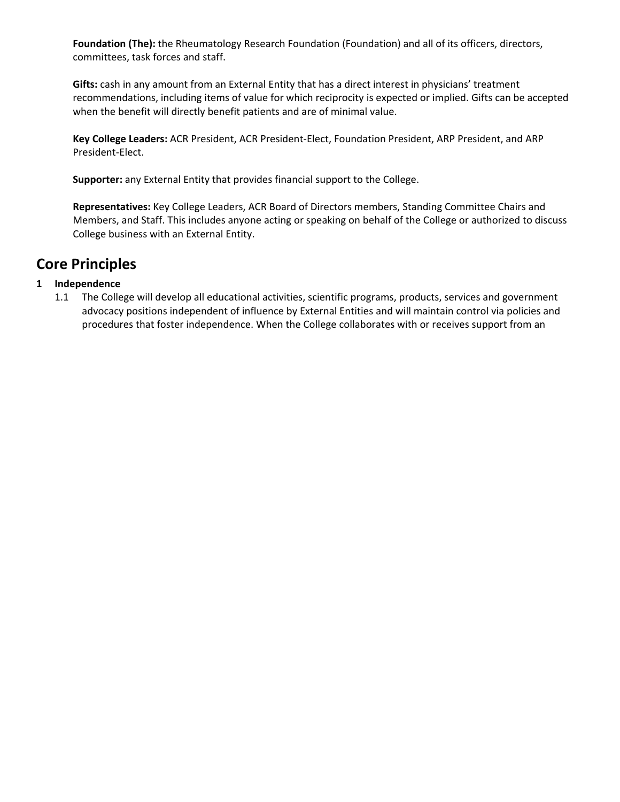**Foundation (The):** the Rheumatology Research Foundation (Foundation) and all of its officers, directors, committees, task forces and staff.

**Gifts:** cash in any amount from an External Entity that has a direct interest in physicians' treatment recommendations, including items of value for which reciprocity is expected or implied. Gifts can be accepted when the benefit will directly benefit patients and are of minimal value.

**Key College Leaders:** ACR President, ACR President‐Elect, Foundation President, ARP President, and ARP President‐Elect.

**Supporter:** any External Entity that provides financial support to the College.

**Representatives:** Key College Leaders, ACR Board of Directors members, Standing Committee Chairs and Members, and Staff. This includes anyone acting or speaking on behalf of the College or authorized to discuss College business with an External Entity.

# **Core Principles**

### **1 Independence**

1.1 The College will develop all educational activities, scientific programs, products, services and government advocacy positions independent of influence by External Entities and will maintain control via policies and procedures that foster independence. When the College collaborates with or receives support from an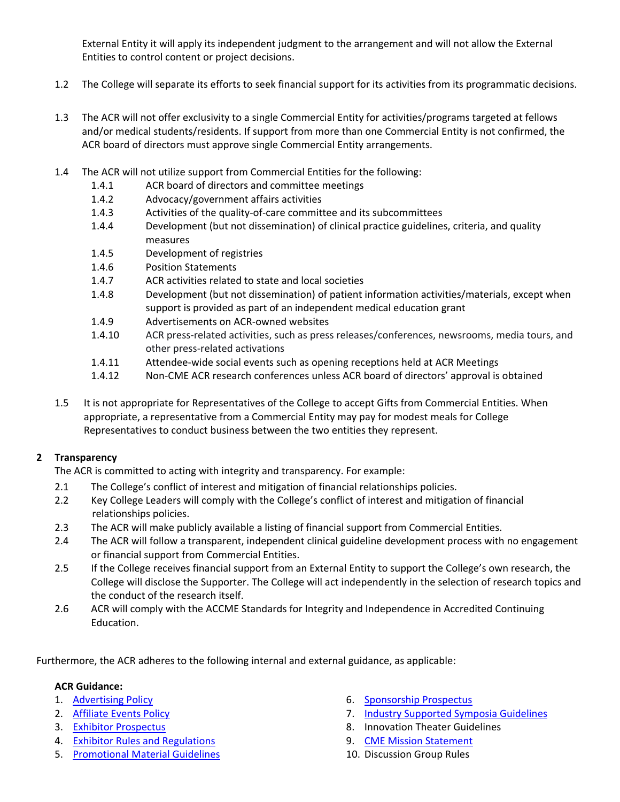External Entity it will apply its independent judgment to the arrangement and will not allow the External Entities to control content or project decisions.

- 1.2 The College will separate its efforts to seek financial support for its activities from its programmatic decisions.
- 1.3 The ACR will not offer exclusivity to a single Commercial Entity for activities/programs targeted at fellows and/or medical students/residents. If support from more than one Commercial Entity is not confirmed, the ACR board of directors must approve single Commercial Entity arrangements.
- 1.4 The ACR will not utilize support from Commercial Entities for the following:
	- 1.4.1 ACR board of directors and committee meetings
	- 1.4.2 Advocacy/government affairs activities
	- 1.4.3 Activities of the quality‐of‐care committee and its subcommittees
	- 1.4.4 Development (but not dissemination) of clinical practice guidelines, criteria, and quality measures
	- 1.4.5 Development of registries
	- 1.4.6 Position Statements
	- 1.4.7 ACR activities related to state and local societies
	- 1.4.8 Development (but not dissemination) of patient information activities/materials, except when support is provided as part of an independent medical education grant
	- 1.4.9 Advertisements on ACR‐owned websites
	- 1.4.10 ACR press‐related activities, such as press releases/conferences, newsrooms, media tours, and other press‐related activations
	- 1.4.11 Attendee‐wide social events such as opening receptions held at ACR Meetings
	- 1.4.12 Non-CME ACR research conferences unless ACR board of directors' approval is obtained
- 1.5 It is not appropriate for Representatives of the College to accept Gifts from Commercial Entities. When appropriate, a representative from a Commercial Entity may pay for modest meals for College Representatives to conduct business between the two entities they represent.

### **2 Transparency**

The ACR is committed to acting with integrity and transparency. For example:

- 2.1 The College's conflict of interest and mitigation of financial relationships policies.
- 2.2Key College Leaders will comply with the College's conflict of interest and mitigation of financial relationships policies.
- 2.3 The ACR will make publicly available a listing of financial support from Commercial Entities.
- 2.4 The ACR will follow a transparent, independent clinical guideline development process with no engagement or financial support from Commercial Entities.
- 2.5 If the College receives financial support from an External Entity to support the College's own research, the College will disclose the Supporter. The College will act independently in the selection of research topics and the conduct of the research itself.
- 2.6 ACR will comply with the ACCME Standards for Integrity and Independence in Accredited Continuing Education.

Furthermore, the ACR adheres to the following internal and external guidance, as applicable:

#### **ACR Guidance:**

- 1. Advertising Policy
- 2. Affiliate Events Policy
- 3. Exhibitor Prospectus
- 4. Exhibitor Rules and Regulations
- 5. Promotional Material Guidelines
- 6. Sponsorship Prospectus
- 7. Industry Supported Symposia Guidelines
- 8. Innovation Theater Guidelines
- 9. CME Mission Statement
- 10. Discussion Group Rules